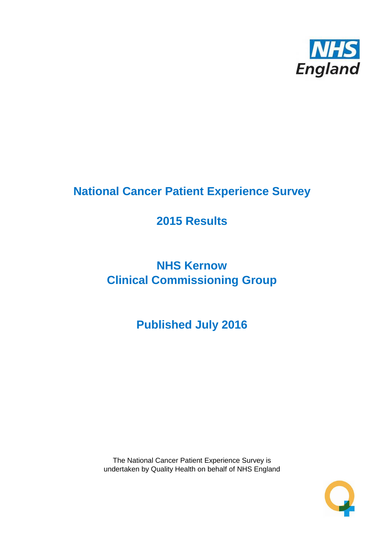

# **National Cancer Patient Experience Survey**

# **2015 Results**

# **NHS Kernow Clinical Commissioning Group**

# **Published July 2016**

The National Cancer Patient Experience Survey is undertaken by Quality Health on behalf of NHS England

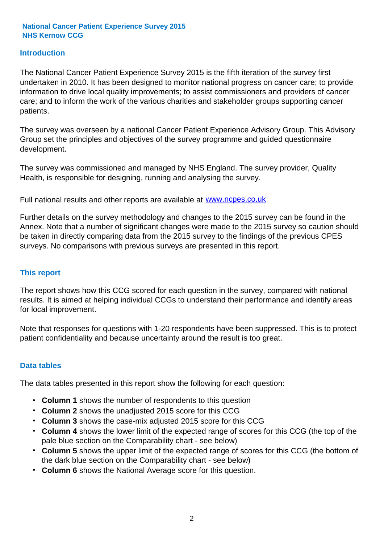### **Introduction**

The National Cancer Patient Experience Survey 2015 is the fifth iteration of the survey first undertaken in 2010. It has been designed to monitor national progress on cancer care; to provide information to drive local quality improvements; to assist commissioners and providers of cancer care; and to inform the work of the various charities and stakeholder groups supporting cancer patients.

The survey was overseen by a national Cancer Patient Experience Advisory Group. This Advisory Group set the principles and objectives of the survey programme and guided questionnaire development.

The survey was commissioned and managed by NHS England. The survey provider, Quality Health, is responsible for designing, running and analysing the survey.

Full national results and other reports are available at www.ncpes.co.uk

Further details on the survey methodology and changes to the 2015 survey can be found in the Annex. Note that a number of significant changes were made to the 2015 survey so caution should be taken in directly comparing data from the 2015 survey to the findings of the previous CPES surveys. No comparisons with previous surveys are presented in this report.

#### **This report**

The report shows how this CCG scored for each question in the survey, compared with national results. It is aimed at helping individual CCGs to understand their performance and identify areas for local improvement.

Note that responses for questions with 1-20 respondents have been suppressed. This is to protect patient confidentiality and because uncertainty around the result is too great.

#### **Data tables**

The data tables presented in this report show the following for each question:

- **Column 1** shows the number of respondents to this question
- **Column 2** shows the unadjusted 2015 score for this CCG
- **Column 3** shows the case-mix adjusted 2015 score for this CCG
- **Column 4** shows the lower limit of the expected range of scores for this CCG (the top of the pale blue section on the Comparability chart - see below)
- **Column 5** shows the upper limit of the expected range of scores for this CCG (the bottom of the dark blue section on the Comparability chart - see below)
- **Column 6** shows the National Average score for this question.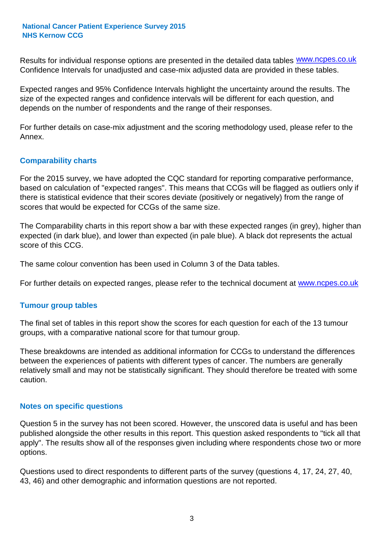Results for individual response options are presented in the detailed data tables **WWW.ncpes.co.uk** Confidence Intervals for unadjusted and case-mix adjusted data are provided in these tables.

Expected ranges and 95% Confidence Intervals highlight the uncertainty around the results. The size of the expected ranges and confidence intervals will be different for each question, and depends on the number of respondents and the range of their responses.

For further details on case-mix adjustment and the scoring methodology used, please refer to the Annex.

### **Comparability charts**

For the 2015 survey, we have adopted the CQC standard for reporting comparative performance, based on calculation of "expected ranges". This means that CCGs will be flagged as outliers only if there is statistical evidence that their scores deviate (positively or negatively) from the range of scores that would be expected for CCGs of the same size.

The Comparability charts in this report show a bar with these expected ranges (in grey), higher than expected (in dark blue), and lower than expected (in pale blue). A black dot represents the actual score of this CCG.

The same colour convention has been used in Column 3 of the Data tables.

For further details on expected ranges, please refer to the technical document at **www.ncpes.co.uk** 

#### **Tumour group tables**

The final set of tables in this report show the scores for each question for each of the 13 tumour groups, with a comparative national score for that tumour group.

These breakdowns are intended as additional information for CCGs to understand the differences between the experiences of patients with different types of cancer. The numbers are generally relatively small and may not be statistically significant. They should therefore be treated with some caution.

#### **Notes on specific questions**

Question 5 in the survey has not been scored. However, the unscored data is useful and has been published alongside the other results in this report. This question asked respondents to "tick all that apply". The results show all of the responses given including where respondents chose two or more options.

Questions used to direct respondents to different parts of the survey (questions 4, 17, 24, 27, 40, 43, 46) and other demographic and information questions are not reported.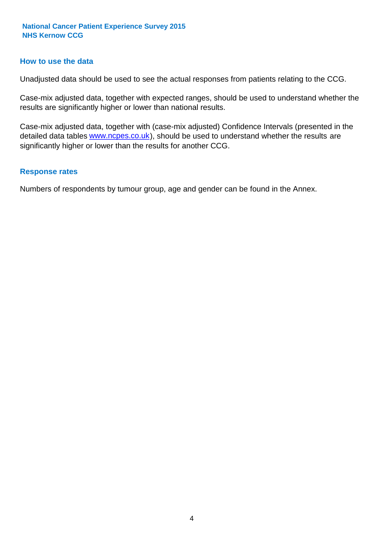#### **How to use the data**

Unadjusted data should be used to see the actual responses from patients relating to the CCG.

Case-mix adjusted data, together with expected ranges, should be used to understand whether the results are significantly higher or lower than national results.

Case-mix adjusted data, together with (case-mix adjusted) Confidence Intervals (presented in the detailed data tables **www.ncpes.co.uk**), should be used to understand whether the results are significantly higher or lower than the results for another CCG.

#### **Response rates**

Numbers of respondents by tumour group, age and gender can be found in the Annex.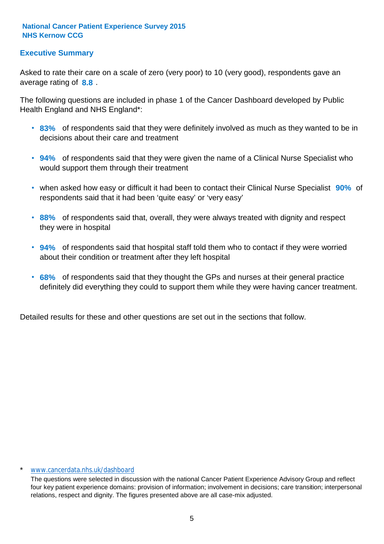## **Executive Summary**

average rating of **8.8**. Asked to rate their care on a scale of zero (very poor) to 10 (very good), respondents gave an

The following questions are included in phase 1 of the Cancer Dashboard developed by Public Health England and NHS England\*:

- **83%** of respondents said that they were definitely involved as much as they wanted to be in decisions about their care and treatment
- **94%** of respondents said that they were given the name of a Clinical Nurse Specialist who would support them through their treatment
- when asked how easy or difficult it had been to contact their Clinical Nurse Specialist 90% of respondents said that it had been 'quite easy' or 'very easy'
- **88%** of respondents said that, overall, they were always treated with dignity and respect they were in hospital
- **94%** of respondents said that hospital staff told them who to contact if they were worried about their condition or treatment after they left hospital
- **68%** of respondents said that they thought the GPs and nurses at their general practice definitely did everything they could to support them while they were having cancer treatment.

Detailed results for these and other questions are set out in the sections that follow.

#### www.cancerdata.nhs.uk/dashboard

The questions were selected in discussion with the national Cancer Patient Experience Advisory Group and reflect four key patient experience domains: provision of information; involvement in decisions; care transition; interpersonal relations, respect and dignity. The figures presented above are all case-mix adjusted.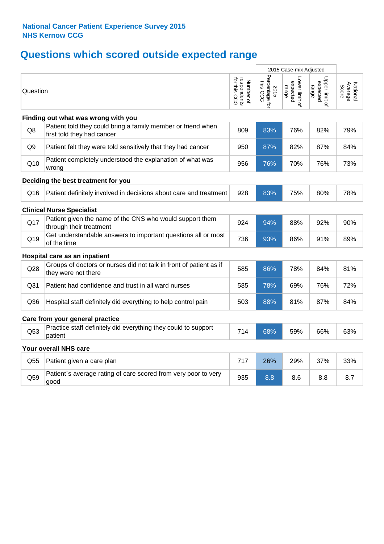# **Questions which scored outside expected range**

|                 |                                                                                            |                                          |                                    | 2015 Case-mix Adjusted              |                                     |                              |
|-----------------|--------------------------------------------------------------------------------------------|------------------------------------------|------------------------------------|-------------------------------------|-------------------------------------|------------------------------|
| Question        |                                                                                            | respondents<br>for this CCG<br>Number of | Percentage for<br>this CCG<br>2015 | Lower limit of<br>expected<br>range | Upper limit of<br>expected<br>range | Average<br>Score<br>National |
|                 | Finding out what was wrong with you                                                        |                                          |                                    |                                     |                                     |                              |
| Q8              | Patient told they could bring a family member or friend when<br>first told they had cancer | 809                                      | 83%                                | 76%                                 | 82%                                 | 79%                          |
| Q <sub>9</sub>  | Patient felt they were told sensitively that they had cancer                               | 950                                      | 87%                                | 82%                                 | 87%                                 | 84%                          |
| Q10             | Patient completely understood the explanation of what was<br>wrong                         | 956                                      | 76%                                | 70%                                 | 76%                                 | 73%                          |
|                 | Deciding the best treatment for you                                                        |                                          |                                    |                                     |                                     |                              |
| Q16             | Patient definitely involved in decisions about care and treatment                          | 928                                      | 83%                                | 75%                                 | 80%                                 | 78%                          |
|                 | <b>Clinical Nurse Specialist</b>                                                           |                                          |                                    |                                     |                                     |                              |
| Q17             | Patient given the name of the CNS who would support them<br>through their treatment        | 924                                      | 94%                                | 88%                                 | 92%                                 | 90%                          |
| Q19             | Get understandable answers to important questions all or most<br>of the time               | 736                                      | 93%                                | 86%                                 | 91%                                 | 89%                          |
|                 | Hospital care as an inpatient                                                              |                                          |                                    |                                     |                                     |                              |
| Q28             | Groups of doctors or nurses did not talk in front of patient as if<br>they were not there  | 585                                      | 86%                                | 78%                                 | 84%                                 | 81%                          |
| Q <sub>31</sub> | Patient had confidence and trust in all ward nurses                                        | 585                                      | 78%                                | 69%                                 | 76%                                 | 72%                          |
| Q36             | Hospital staff definitely did everything to help control pain                              | 503                                      | 88%                                | 81%                                 | 87%                                 | 84%                          |
|                 | Care from your general practice                                                            |                                          |                                    |                                     |                                     |                              |
| Q53             | Practice staff definitely did everything they could to support<br>patient                  | 714                                      | 68%                                | 59%                                 | 66%                                 | 63%                          |
|                 | Your overall NHS care                                                                      |                                          |                                    |                                     |                                     |                              |
| Q55             | Patient given a care plan                                                                  | 717                                      | 26%                                | 29%                                 | 37%                                 | 33%                          |
| Q59             | Patient's average rating of care scored from very poor to very<br>good                     | 935                                      | 8.8                                | 8.6                                 | 8.8                                 | 8.7                          |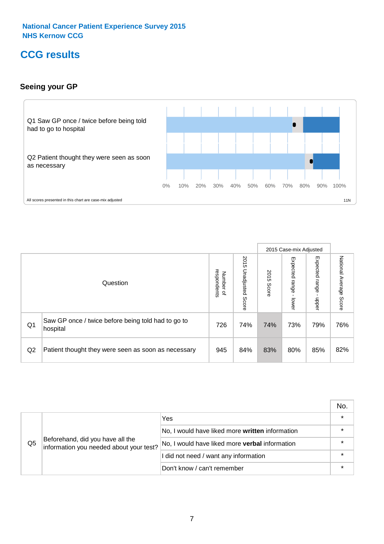# **CCG results**

## **Seeing your GP**



|    |                                                                |                                                     |                             |               | 2015 Case-mix Adjusted     |                            |                           |
|----|----------------------------------------------------------------|-----------------------------------------------------|-----------------------------|---------------|----------------------------|----------------------------|---------------------------|
|    | Question                                                       | respondents<br><b>Number</b><br>$\overline{\sigma}$ | 2015<br>Unadjusted<br>Score | 2015<br>Score | Expected<br>range<br>lower | Expected<br>range<br>nbber | National Average<br>Score |
| Q1 | Saw GP once / twice before being told had to go to<br>hospital | 726                                                 | 74%                         | 74%           | 73%                        | 79%                        | 76%                       |
| Q2 | Patient thought they were seen as soon as necessary            | 945                                                 | 84%                         | 83%           | 80%                        | 85%                        | 82%                       |

|    |                                                                             |                                                 | No.     |
|----|-----------------------------------------------------------------------------|-------------------------------------------------|---------|
|    | Beforehand, did you have all the<br>information you needed about your test? | Yes                                             | $\star$ |
|    |                                                                             | No, I would have liked more written information |         |
| Q5 |                                                                             | No, I would have liked more verbal information  | $\star$ |
|    |                                                                             | I did not need / want any information           | $\star$ |
|    |                                                                             | Don't know / can't remember                     | $\star$ |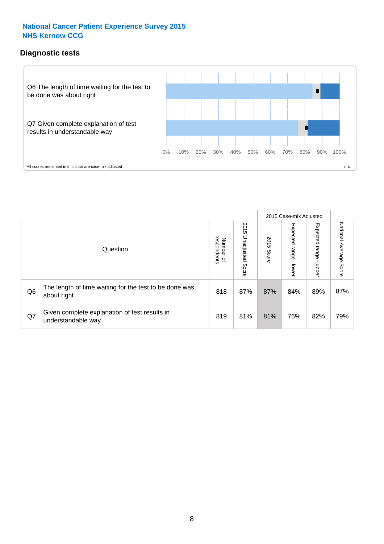## **Diagnostic tests**



|                |                                                                       |                                       |                             |               | 2015 Case-mix Adjusted  |                         |                           |
|----------------|-----------------------------------------------------------------------|---------------------------------------|-----------------------------|---------------|-------------------------|-------------------------|---------------------------|
|                | Question                                                              | respondents<br>Number<br>$\mathbf{Q}$ | 2015<br>Unadjusted<br>Score | 2015<br>Score | Expected range<br>lower | Expected range<br>nbber | National Average<br>Score |
| Q <sub>6</sub> | The length of time waiting for the test to be done was<br>about right | 818                                   | 87%                         | 87%           | 84%                     | 89%                     | 87%                       |
| Q7             | Given complete explanation of test results in<br>understandable way   | 819                                   | 81%                         | 81%           | 76%                     | 82%                     | 79%                       |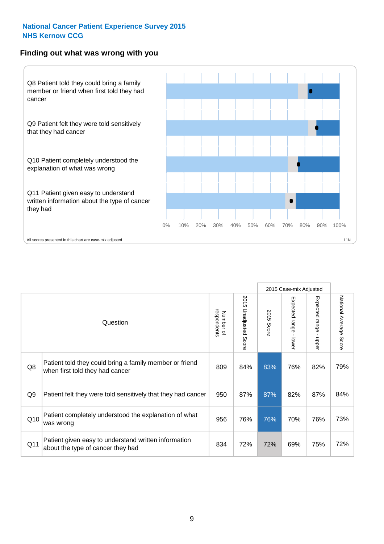#### **Finding out what was wrong with you**



|     |                                                                                            |                          |                       | 2015 Case-mix Adjusted<br>Expected range - lower<br>2015 Score<br>83%<br>76%<br>87%<br>82%<br>76%<br>70%<br>72%<br>69% |                                           |                           |
|-----|--------------------------------------------------------------------------------------------|--------------------------|-----------------------|------------------------------------------------------------------------------------------------------------------------|-------------------------------------------|---------------------------|
|     | Question                                                                                   | respondents<br>Number of | 2015 Unadjusted Score |                                                                                                                        | Expected range<br>$\blacksquare$<br>nbber | National Average<br>Score |
| Q8  | Patient told they could bring a family member or friend<br>when first told they had cancer | 809                      | 84%                   |                                                                                                                        | 82%                                       | 79%                       |
| Q9  | Patient felt they were told sensitively that they had cancer                               | 950                      | 87%                   |                                                                                                                        | 87%                                       | 84%                       |
| Q10 | Patient completely understood the explanation of what<br>was wrong                         | 956                      | 76%                   |                                                                                                                        | 76%                                       | 73%                       |
| Q11 | Patient given easy to understand written information<br>about the type of cancer they had  | 834                      | 72%                   |                                                                                                                        | 75%                                       | 72%                       |
|     |                                                                                            |                          |                       |                                                                                                                        |                                           |                           |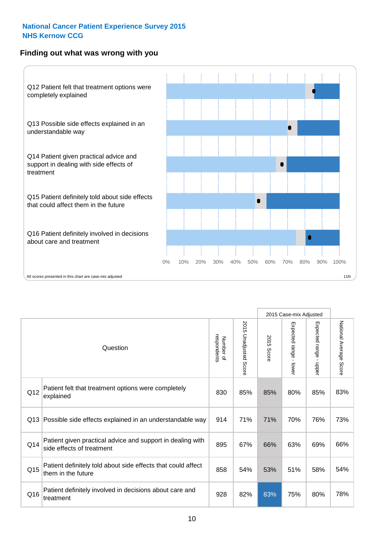## **Finding out what was wrong with you**



|                 |                                                                                         |                          |                       |               | 2015 Case-mix Adjusted    |                           |                        |
|-----------------|-----------------------------------------------------------------------------------------|--------------------------|-----------------------|---------------|---------------------------|---------------------------|------------------------|
| Question        |                                                                                         | respondents<br>Number of | 2015 Unadjusted Score | 2015<br>Score | Expected range<br>- lower | Expected range -<br>nbber | National Average Score |
| Q12             | Patient felt that treatment options were completely<br>explained                        | 830                      | 85%                   | 85%           | 80%                       | 85%                       | 83%                    |
| Q13             | Possible side effects explained in an understandable way                                | 914                      | 71%                   | 71%           | 70%                       | 76%                       | 73%                    |
| Q14             | Patient given practical advice and support in dealing with<br>side effects of treatment | 895                      | 67%                   | 66%           | 63%                       | 69%                       | 66%                    |
| Q <sub>15</sub> | Patient definitely told about side effects that could affect<br>them in the future      | 858                      | 54%                   | 53%           | 51%                       | 58%                       | 54%                    |
| Q16             | Patient definitely involved in decisions about care and<br>treatment                    | 928                      | 82%                   | 83%           | 75%                       | 80%                       | 78%                    |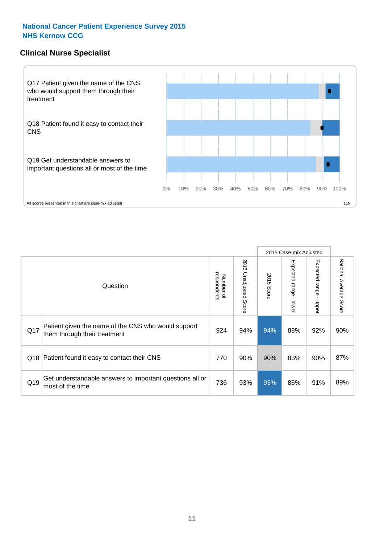### **Clinical Nurse Specialist**



|     |                                                                                     |                          |                       |               | 2015 Case-mix Adjusted  |                         |                                  |
|-----|-------------------------------------------------------------------------------------|--------------------------|-----------------------|---------------|-------------------------|-------------------------|----------------------------------|
|     | Question                                                                            | Number of<br>respondents | 2015 Unadjusted Score | 2015<br>Score | Expected range<br>lower | Expected range<br>nbber | National Average<br><b>Score</b> |
| Q17 | Patient given the name of the CNS who would support<br>them through their treatment | 924                      | 94%                   | 94%           | 88%                     | 92%                     | 90%                              |
| Q18 | Patient found it easy to contact their CNS                                          | 770                      | 90%                   | 90%           | 83%                     | 90%                     | 87%                              |
| Q19 | Get understandable answers to important questions all or<br>most of the time        | 736                      | 93%                   | 93%           | 86%                     | 91%                     | 89%                              |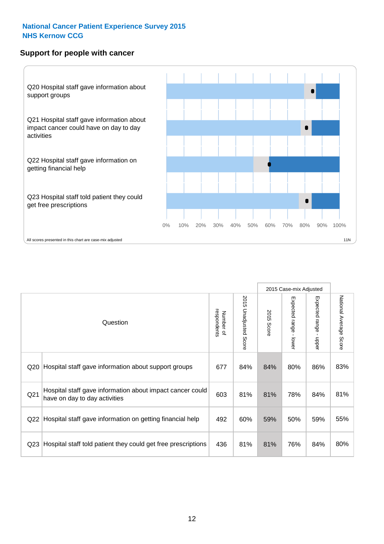#### **Support for people with cancer**



|                 |                                                                                            |                          |                             |               | 2015 Case-mix Adjusted                  |                           |                        |
|-----------------|--------------------------------------------------------------------------------------------|--------------------------|-----------------------------|---------------|-----------------------------------------|---------------------------|------------------------|
|                 | Question                                                                                   | respondents<br>Number of | 2015<br>Unadjusted<br>Score | 2015<br>Score | Expected range<br>$\mathbf{I}$<br>lower | Expected range<br>- nbbel | National Average Score |
| Q20             | Hospital staff gave information about support groups                                       | 677                      | 84%                         | 84%           | 80%                                     | 86%                       | 83%                    |
| Q <sub>21</sub> | Hospital staff gave information about impact cancer could<br>have on day to day activities | 603                      | 81%                         | 81%           | 78%                                     | 84%                       | 81%                    |
| Q22             | Hospital staff gave information on getting financial help                                  | 492                      | 60%                         | 59%           | 50%                                     | 59%                       | 55%                    |
| Q <sub>23</sub> | Hospital staff told patient they could get free prescriptions                              | 436                      | 81%                         | 81%           | 76%                                     | 84%                       | 80%                    |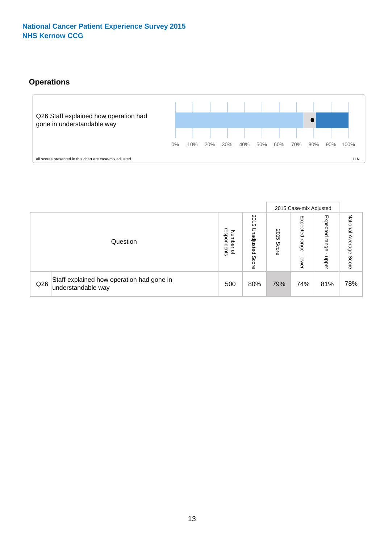# **Operations**



|     |                                                                 |                                         |                             |               | 2015 Case-mix Adjusted     |                           |                              |
|-----|-----------------------------------------------------------------|-----------------------------------------|-----------------------------|---------------|----------------------------|---------------------------|------------------------------|
|     | Question                                                        | respondents<br>Number<br>$\overline{a}$ | 2015<br>Unadjusted<br>Score | 2015<br>Score | Expected<br>range<br>lower | Expected<br>range<br>ddoe | National<br>Average<br>Score |
| Q26 | Staff explained how operation had gone in<br>understandable way | 500                                     | 80%                         | 79%           | 74%                        | 81%                       | 78%                          |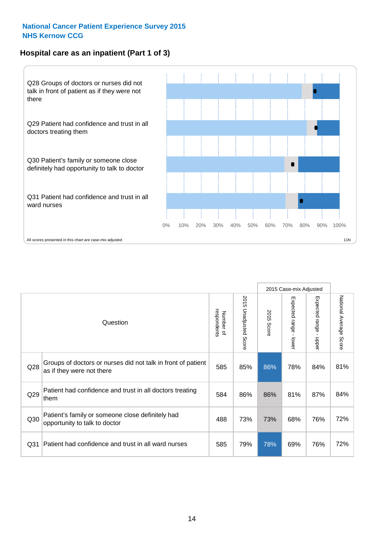# **Hospital care as an inpatient (Part 1 of 3)**



All scores presented in this chart are case-mix adjusted  $\blacksquare$  11N

|                 |                                                                                           |                          |                       |               | 2015 Case-mix Adjusted                  |                                           |                        |
|-----------------|-------------------------------------------------------------------------------------------|--------------------------|-----------------------|---------------|-----------------------------------------|-------------------------------------------|------------------------|
|                 | Question                                                                                  | respondents<br>Number of | 2015 Unadjusted Score | 2015<br>Score | Expected range<br>$\mathbf{r}$<br>lower | Expected range<br>$\blacksquare$<br>nbber | National Average Score |
| Q28             | Groups of doctors or nurses did not talk in front of patient<br>as if they were not there | 585                      | 85%                   | 86%           | 78%                                     | 84%                                       | 81%                    |
| Q29             | Patient had confidence and trust in all doctors treating<br>them                          | 584                      | 86%                   | 86%           | 81%                                     | 87%                                       | 84%                    |
| Q30             | Patient's family or someone close definitely had<br>opportunity to talk to doctor         | 488                      | 73%                   | 73%           | 68%                                     | 76%                                       | 72%                    |
| Q <sub>31</sub> | Patient had confidence and trust in all ward nurses                                       | 585                      | 79%                   | 78%           | 69%                                     | 76%                                       | 72%                    |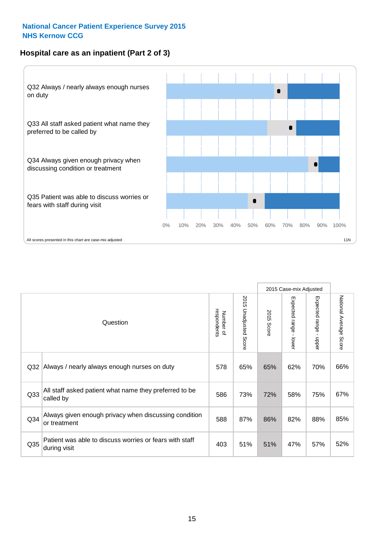## **Hospital care as an inpatient (Part 2 of 3)**



2015 Case-mix Adjusted National Average Score 2015 Unadjusted Score Expected range - lower Expected range - upper National Average Score 2015 Unadjusted Score Expected range - upper Expected range - lower Number of<br>respondents respondents 2015 Score 2015 Score Number of Question Q32 Always / nearly always enough nurses on duty  $\begin{array}{|l|} \hline \text{65\%} & \text{65\%} & \text{62\%} & \text{70\%} & \text{66\%} \hline \end{array}$ Q33 586 73% 72% 58% 75% All staff asked patient what name they preferred to be called by 67% Q34 Always given enough privacy when discussing condition  $\begin{array}{|c|c|c|c|c|c|c|c|}\n\hline\n\text{Q34} & \text{a} & \text{a} & \text{b} & \text{c} & \text{d} \\
\hline\n\text{Q35} & \text{a} & \text{b} & \text{c} & \text{d} & \text{d} \\
\hline\n\text{Q36} & \text{d} & \text{d} & \text{d} & \text{d} & \text{d} & \text{d} \\
\hline\n\text$ or treatment 85% Patient was able to discuss worries or fears with staff during visit 52% Q35  $\frac{1}{403}$  51% 51% 47% 57%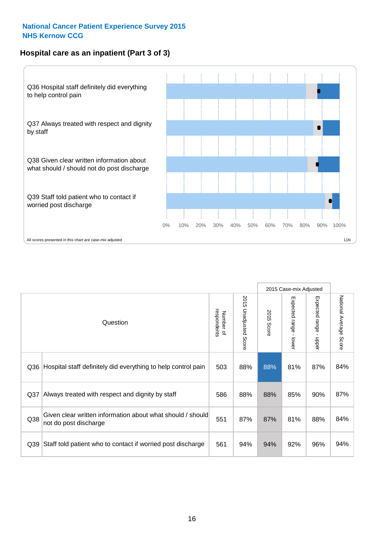### **Hospital care as an inpatient (Part 3 of 3)**



|                 |                                                                                     |                          |                                 |               | 2015 Case-mix Adjusted                    |                                           |                        |
|-----------------|-------------------------------------------------------------------------------------|--------------------------|---------------------------------|---------------|-------------------------------------------|-------------------------------------------|------------------------|
|                 | Question                                                                            | respondents<br>Number of | 2015<br><b>Unadjusted Score</b> | 2015<br>Score | Expected range<br>$\blacksquare$<br>lower | Expected range<br>$\blacksquare$<br>nbber | National Average Score |
| Q36             | Hospital staff definitely did everything to help control pain                       | 503                      | 88%                             | 88%           | 81%                                       | 87%                                       | 84%                    |
| Q <sub>37</sub> | Always treated with respect and dignity by staff                                    | 586                      | 88%                             | 88%           | 85%                                       | 90%                                       | 87%                    |
| Q38             | Given clear written information about what should / should<br>not do post discharge | 551                      | 87%                             | 87%           | 81%                                       | 88%                                       | 84%                    |
| Q39             | Staff told patient who to contact if worried post discharge                         | 561                      | 94%                             | 94%           | 92%                                       | 96%                                       | 94%                    |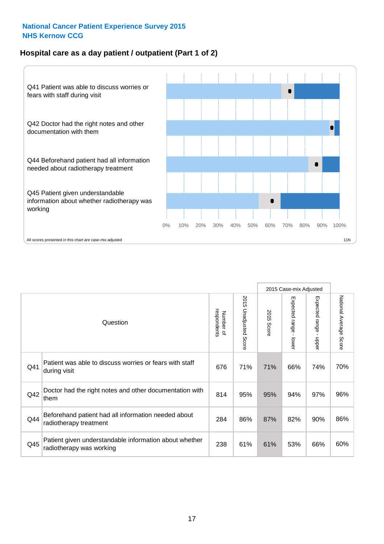### **Hospital care as a day patient / outpatient (Part 1 of 2)**



|     |                                                                                    |                          |                          |               | 2015 Case-mix Adjusted                  |                                           |                        |
|-----|------------------------------------------------------------------------------------|--------------------------|--------------------------|---------------|-----------------------------------------|-------------------------------------------|------------------------|
|     | Question                                                                           | respondents<br>Number of | 2015<br>Unadjusted Score | 2015<br>Score | Expected range<br>$\mathbf{r}$<br>lower | Expected range<br>$\blacksquare$<br>nbber | National Average Score |
| Q41 | Patient was able to discuss worries or fears with staff<br>during visit            | 676                      | 71%                      | 71%           | 66%                                     | 74%                                       | 70%                    |
| Q42 | Doctor had the right notes and other documentation with<br>them                    | 814                      | 95%                      | 95%           | 94%                                     | 97%                                       | 96%                    |
| Q44 | Beforehand patient had all information needed about<br>radiotherapy treatment      | 284                      | 86%                      | 87%           | 82%                                     | 90%                                       | 86%                    |
| Q45 | Patient given understandable information about whether<br>radiotherapy was working | 238                      | 61%                      | 61%           | 53%                                     | 66%                                       | 60%                    |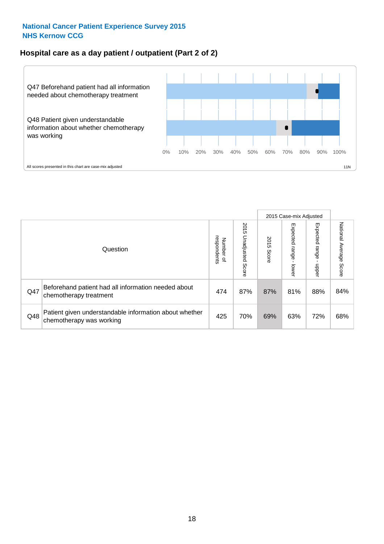### **Hospital care as a day patient / outpatient (Part 2 of 2)**



|     |                                                                                    |                             |                             |               | 2015 Case-mix Adjusted  |                          |                           |
|-----|------------------------------------------------------------------------------------|-----------------------------|-----------------------------|---------------|-------------------------|--------------------------|---------------------------|
|     | Question                                                                           | respondents<br>Number<br>டி | 2015<br>Unadjusted<br>Score | 2015<br>Score | Expected range<br>lower | Expected<br>range<br>dda | National Average<br>Score |
| Q47 | Beforehand patient had all information needed about<br>chemotherapy treatment      | 474                         | 87%                         | 87%           | 81%                     | 88%                      | 84%                       |
| Q48 | Patient given understandable information about whether<br>chemotherapy was working | 425                         | 70%                         | 69%           | 63%                     | 72%                      | 68%                       |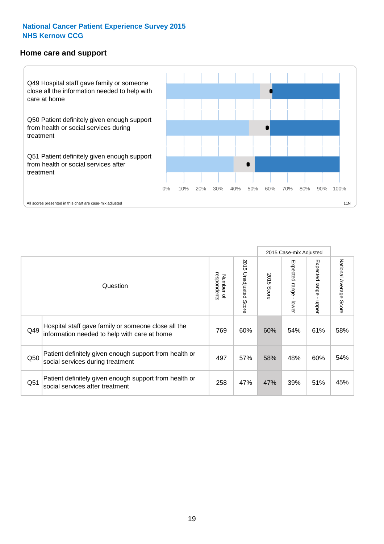#### **Home care and support**



2015 Case-mix Adjusted 2015 Unadjusted Score Expected range - upper National Average Score 2015 Unadjusted Score Expected range - lower National Average Score Expected range - lower Expected range - upper Number of<br>respondents 2015 Score respondents 2015 Score Number of Question Hospital staff gave family or someone close all the  $Q49$  information needed to help with care at home  $Q49$  60% 60% 54% 61% 58% Patient definitely given enough support from health or Q50 social services during treatment **1998** 497 497 57% 58% 48% 60% 54% Patient definitely given enough support from health or Q51 social services after treatment examples and the call of the call of the case of the social services after treatment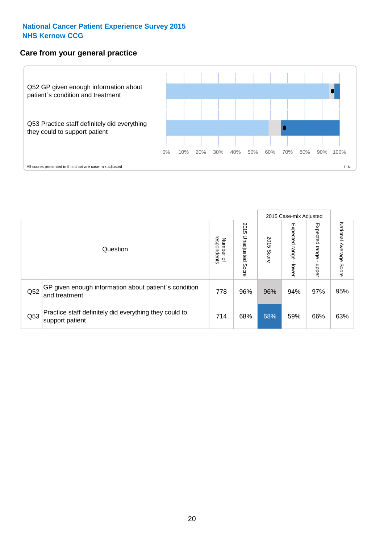### **Care from your general practice**



|     |                                                                           |                                       |                             |               | 2015 Case-mix Adjusted      |                            |                           |
|-----|---------------------------------------------------------------------------|---------------------------------------|-----------------------------|---------------|-----------------------------|----------------------------|---------------------------|
|     | Question                                                                  | respondents<br>Number<br>$\mathbf{Q}$ | 2015<br>Unadjusted<br>Score | 2015<br>Score | Expected<br>Irange<br>lower | Expected<br>range<br>nbber | National Average<br>Score |
| Q52 | GP given enough information about patient's condition<br>and treatment    | 778                                   | 96%                         | 96%           | 94%                         | 97%                        | 95%                       |
| Q53 | Practice staff definitely did everything they could to<br>support patient | 714                                   | 68%                         | 68%           | 59%                         | 66%                        | 63%                       |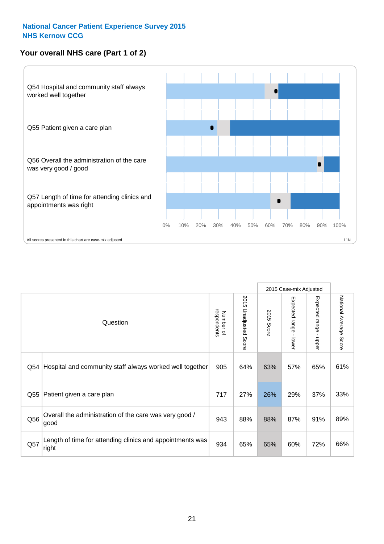# **Your overall NHS care (Part 1 of 2)**



|     |                                                                    |                          |                          |               | 2015 Case-mix Adjusted                    |                                           |                        |
|-----|--------------------------------------------------------------------|--------------------------|--------------------------|---------------|-------------------------------------------|-------------------------------------------|------------------------|
|     | Question                                                           | respondents<br>Number of | 2015<br>Unadjusted Score | 2015<br>Score | Expected range<br>$\blacksquare$<br>lower | Expected range<br>$\blacksquare$<br>nbber | National Average Score |
| Q54 | Hospital and community staff always worked well together           | 905                      | 64%                      | 63%           | 57%                                       | 65%                                       | 61%                    |
| Q55 | Patient given a care plan                                          | 717                      | 27%                      | 26%           | 29%                                       | 37%                                       | 33%                    |
| Q56 | Overall the administration of the care was very good /<br>good     | 943                      | 88%                      | 88%           | 87%                                       | 91%                                       | 89%                    |
| Q57 | Length of time for attending clinics and appointments was<br>right | 934                      | 65%                      | 65%           | 60%                                       | 72%                                       | 66%                    |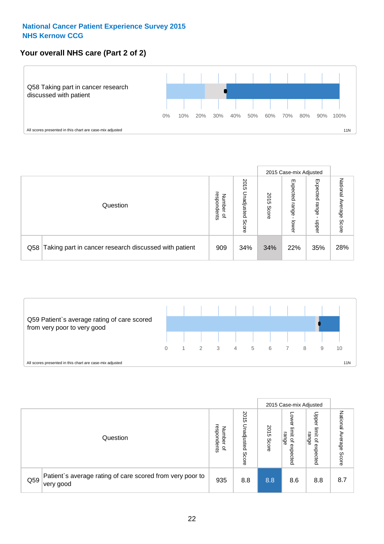## **Your overall NHS care (Part 2 of 2)**



|                                                           |                                         |                             | 2015 Case-mix Adjusted |                            |                            |                           |
|-----------------------------------------------------------|-----------------------------------------|-----------------------------|------------------------|----------------------------|----------------------------|---------------------------|
| Question                                                  | respondents<br>Number<br>$\overline{a}$ | 2015<br>Unadjusted<br>Score | 2015<br>Score          | Expected<br>range<br>lower | Expected<br>range<br>doper | National<br>Average Score |
| Q58 Taking part in cancer research discussed with patient | 909                                     | 34%                         | 34%                    | 22%                        | 35%                        | 28%                       |



|     |                                                                        |                                              |                             | 2015 Case-mix Adjusted |                                           |                                                                 |                              |
|-----|------------------------------------------------------------------------|----------------------------------------------|-----------------------------|------------------------|-------------------------------------------|-----------------------------------------------------------------|------------------------------|
|     | Question                                                               | respondents<br>Number<br>$\overline{\sigma}$ | 2015<br>Jnadjusted<br>Score | 2015<br>Score          | OWer<br>limit<br>range<br>਼੍ਰ<br>expected | Upper<br>limit<br>range<br>$\overline{\mathcal{C}}$<br>expected | National<br>Average<br>Score |
| Q59 | Patient's average rating of care scored from very poor to<br>very good | 935                                          | 8.8                         | 8.8                    | 8.6                                       | 8.8                                                             | 8.7                          |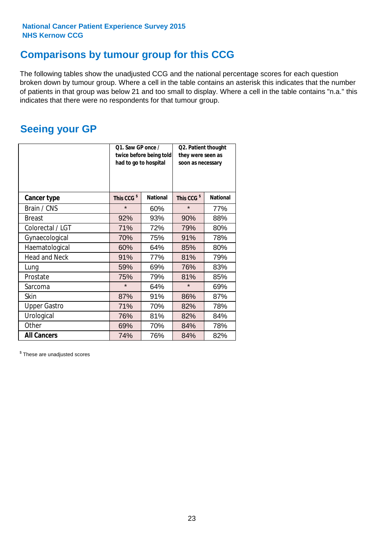# **Comparisons by tumour group for this CCG**

The following tables show the unadjusted CCG and the national percentage scores for each question broken down by tumour group. Where a cell in the table contains an asterisk this indicates that the number of patients in that group was below 21 and too small to display. Where a cell in the table contains "n.a." this indicates that there were no respondents for that tumour group.

# **Seeing your GP**

|                      | Q1. Saw GP once /<br>had to go to hospital | twice before being told | Q2. Patient thought<br>they were seen as<br>soon as necessary |                 |  |
|----------------------|--------------------------------------------|-------------------------|---------------------------------------------------------------|-----------------|--|
| <b>Cancer type</b>   | This CCG <sup>\$</sup>                     | <b>National</b>         | This CCG <sup>\$</sup>                                        | <b>National</b> |  |
| Brain / CNS          | $\star$                                    | 60%                     | $\star$                                                       | 77%             |  |
| <b>Breast</b>        | 92%                                        | 93%                     | 90%                                                           | 88%             |  |
| Colorectal / LGT     | 71%                                        | 72%                     | 79%                                                           | 80%             |  |
| Gynaecological       | 70%                                        | 75%                     | 91%                                                           | 78%             |  |
| Haematological       | 60%                                        | 64%                     | 85%                                                           | 80%             |  |
| <b>Head and Neck</b> | 91%                                        | 77%                     | 81%                                                           | 79%             |  |
| Lung                 | 59%                                        | 69%                     | 76%                                                           | 83%             |  |
| Prostate             | 75%                                        | 79%                     | 81%                                                           | 85%             |  |
| Sarcoma              | $\star$                                    | 64%                     | $\star$                                                       | 69%             |  |
| <b>Skin</b>          | 87%                                        | 91%                     | 86%                                                           | 87%             |  |
| <b>Upper Gastro</b>  | 71%                                        | 70%                     | 82%                                                           | 78%             |  |
| Urological           | 76%                                        | 81%                     | 82%                                                           | 84%             |  |
| Other                | 69%                                        | 70%                     | 84%                                                           | 78%             |  |
| <b>All Cancers</b>   | 74%                                        | 76%                     | 84%                                                           | 82%             |  |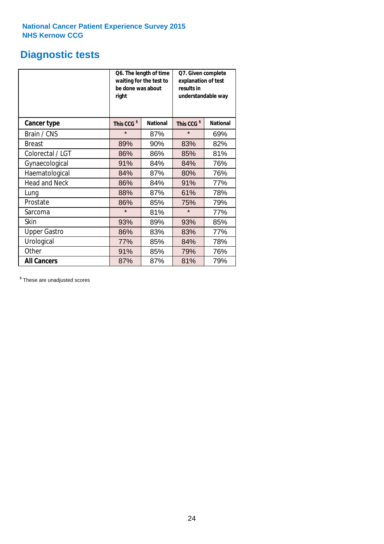# **Diagnostic tests**

|                      | be done was about<br>right | Q6. The length of time<br>waiting for the test to | Q7. Given complete<br>explanation of test<br>results in<br>understandable way |                 |  |
|----------------------|----------------------------|---------------------------------------------------|-------------------------------------------------------------------------------|-----------------|--|
| <b>Cancer type</b>   | This CCG <sup>\$</sup>     | <b>National</b>                                   | This CCG <sup>\$</sup>                                                        | <b>National</b> |  |
| Brain / CNS          | $\star$                    | 87%                                               | $\star$                                                                       | 69%             |  |
| <b>Breast</b>        | 89%                        | 90%                                               | 83%                                                                           | 82%             |  |
| Colorectal / LGT     | 86%                        | 86%                                               | 85%                                                                           | 81%             |  |
| Gynaecological       | 91%                        | 84%                                               | 84%                                                                           | 76%             |  |
| Haematological       | 84%                        | 87%                                               | 80%                                                                           | 76%             |  |
| <b>Head and Neck</b> | 86%                        | 84%                                               | 91%                                                                           | 77%             |  |
| Lung                 | 88%                        | 87%                                               | 61%                                                                           | 78%             |  |
| Prostate             | 86%                        | 85%                                               | 75%                                                                           | 79%             |  |
| Sarcoma              | $\star$                    | 81%                                               | $\star$                                                                       | 77%             |  |
| Skin                 | 93%                        | 89%                                               | 93%                                                                           | 85%             |  |
| <b>Upper Gastro</b>  | 86%                        | 83%                                               | 83%                                                                           | 77%             |  |
| Urological           | 77%                        | 85%                                               | 84%                                                                           | 78%             |  |
| Other                | 91%                        | 85%                                               | 79%                                                                           | 76%             |  |
| <b>All Cancers</b>   | 87%                        | 87%                                               | 81%                                                                           | 79%             |  |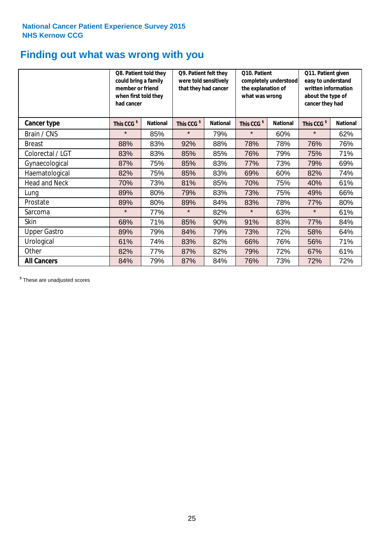# **Finding out what was wrong with you**

|                      | Q8. Patient told they<br>could bring a family<br>member or friend<br>when first told they<br>had cancer |                 | Q9. Patient felt they<br>were told sensitively<br>that they had cancer |                 | Q10. Patient<br>completely understood<br>the explanation of<br>what was wrong |                 | Q11. Patient given<br>easy to understand<br>written information<br>about the type of<br>cancer they had |                 |
|----------------------|---------------------------------------------------------------------------------------------------------|-----------------|------------------------------------------------------------------------|-----------------|-------------------------------------------------------------------------------|-----------------|---------------------------------------------------------------------------------------------------------|-----------------|
| Cancer type          | This CCG <sup>\$</sup>                                                                                  | <b>National</b> | This CCG <sup>\$</sup>                                                 | <b>National</b> | This CCG <sup>\$</sup>                                                        | <b>National</b> | This CCG <sup>\$</sup>                                                                                  | <b>National</b> |
| Brain / CNS          | $\star$                                                                                                 | 85%             | $\star$                                                                | 79%             | $\star$                                                                       | 60%             | $\star$                                                                                                 | 62%             |
| <b>Breast</b>        | 88%                                                                                                     | 83%             | 92%                                                                    | 88%             | 78%                                                                           | 78%             | 76%                                                                                                     | 76%             |
| Colorectal / LGT     | 83%                                                                                                     | 83%             | 85%                                                                    | 85%             | 76%                                                                           | 79%             | 75%                                                                                                     | 71%             |
| Gynaecological       | 87%                                                                                                     | 75%             | 85%                                                                    | 83%             | 77%                                                                           | 73%             | 79%                                                                                                     | 69%             |
| Haematological       | 82%                                                                                                     | 75%             | 85%                                                                    | 83%             | 69%                                                                           | 60%             | 82%                                                                                                     | 74%             |
| <b>Head and Neck</b> | 70%                                                                                                     | 73%             | 81%                                                                    | 85%             | 70%                                                                           | 75%             | 40%                                                                                                     | 61%             |
| Lung                 | 89%                                                                                                     | 80%             | 79%                                                                    | 83%             | 73%                                                                           | 75%             | 49%                                                                                                     | 66%             |
| Prostate             | 89%                                                                                                     | 80%             | 89%                                                                    | 84%             | 83%                                                                           | 78%             | 77%                                                                                                     | 80%             |
| Sarcoma              | $\star$                                                                                                 | 77%             | $\star$                                                                | 82%             | $\star$                                                                       | 63%             | $\star$                                                                                                 | 61%             |
| Skin                 | 68%                                                                                                     | 71%             | 85%                                                                    | 90%             | 91%                                                                           | 83%             | 77%                                                                                                     | 84%             |
| <b>Upper Gastro</b>  | 89%                                                                                                     | 79%             | 84%                                                                    | 79%             | 73%                                                                           | 72%             | 58%                                                                                                     | 64%             |
| Urological           | 61%                                                                                                     | 74%             | 83%                                                                    | 82%             | 66%                                                                           | 76%             | 56%                                                                                                     | 71%             |
| Other                | 82%                                                                                                     | 77%             | 87%                                                                    | 82%             | 79%                                                                           | 72%             | 67%                                                                                                     | 61%             |
| <b>All Cancers</b>   | 84%                                                                                                     | 79%             | 87%                                                                    | 84%             | 76%                                                                           | 73%             | 72%                                                                                                     | 72%             |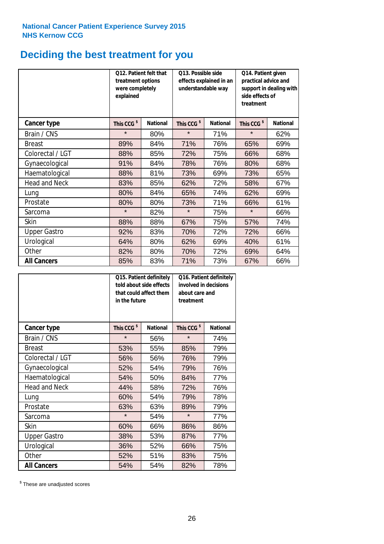# **Deciding the best treatment for you**

|                      | treatment options<br>were completely<br>explained | Q12. Patient felt that | Q13. Possible side<br>understandable way  | effects explained in an | Q14. Patient given<br>practical advice and<br>support in dealing with<br>side effects of<br>treatment |                 |  |
|----------------------|---------------------------------------------------|------------------------|-------------------------------------------|-------------------------|-------------------------------------------------------------------------------------------------------|-----------------|--|
| <b>Cancer type</b>   | This CCG <sup>\$</sup>                            | <b>National</b>        | This CCG <sup>\$</sup><br><b>National</b> |                         | This CCG <sup>\$</sup>                                                                                | <b>National</b> |  |
| Brain / CNS          | $\star$                                           | 80%                    | $\star$                                   | 71%                     | $\star$                                                                                               | 62%             |  |
| <b>Breast</b>        | 89%                                               | 84%                    | 71%                                       | 76%                     | 65%                                                                                                   | 69%             |  |
| Colorectal / LGT     | 88%                                               | 85%                    | 72%                                       | 75%                     | 66%                                                                                                   | 68%             |  |
| Gynaecological       | 91%                                               | 84%                    | 78%                                       | 76%                     | 80%                                                                                                   | 68%             |  |
| Haematological       | 88%                                               | 81%                    | 73%                                       | 69%                     | 73%                                                                                                   | 65%             |  |
| <b>Head and Neck</b> | 83%                                               | 85%                    | 62%                                       | 72%                     | 58%                                                                                                   | 67%             |  |
| Lung                 | 80%                                               | 84%                    | 65%                                       | 74%                     | 62%                                                                                                   | 69%             |  |
| Prostate             | 80%                                               | 80%                    | 73%                                       | 71%                     | 66%                                                                                                   | 61%             |  |
| Sarcoma              | $\star$                                           | 82%                    | $\star$                                   | 75%                     | $\star$                                                                                               | 66%             |  |
| Skin                 | 88%                                               | 88%                    | 67%                                       | 75%                     | 57%                                                                                                   | 74%             |  |
| <b>Upper Gastro</b>  | 92%                                               | 83%                    | 70%                                       | 72%                     | 72%                                                                                                   | 66%             |  |
| Urological           | 64%                                               | 80%                    | 62%                                       | 69%                     | 40%                                                                                                   | 61%             |  |
| Other                | 82%                                               | 80%                    | 70%                                       | 72%                     | 69%                                                                                                   | 64%             |  |
| <b>All Cancers</b>   | 85%                                               | 83%                    | 71%                                       | 73%                     | 67%                                                                                                   | 66%             |  |

|                      | Q15. Patient definitely<br>told about side effects<br>that could affect them<br>in the future |                 |                        | Q16. Patient definitely<br>involved in decisions<br>about care and<br>treatment |  |  |
|----------------------|-----------------------------------------------------------------------------------------------|-----------------|------------------------|---------------------------------------------------------------------------------|--|--|
| <b>Cancer type</b>   | This CCG <sup>\$</sup>                                                                        | <b>National</b> | This CCG <sup>\$</sup> | <b>National</b>                                                                 |  |  |
| Brain / CNS          | $\star$                                                                                       | 56%             | $\star$                | 74%                                                                             |  |  |
| <b>Breast</b>        | 53%                                                                                           | 55%             | 85%                    | 79%                                                                             |  |  |
| Colorectal / LGT     | 56%                                                                                           | 56%             | 76%                    | 79%                                                                             |  |  |
| Gynaecological       | 52%<br>54%                                                                                    |                 | 79%                    | 76%                                                                             |  |  |
| Haematological       | 54%<br>50%                                                                                    |                 | 84%                    | 77%                                                                             |  |  |
| <b>Head and Neck</b> | 44%                                                                                           | 58%             | 72%                    | 76%                                                                             |  |  |
| Lung                 | 60%                                                                                           | 54%             | 79%                    | 78%                                                                             |  |  |
| Prostate             | 63%                                                                                           | 63%             | 89%                    | 79%                                                                             |  |  |
| Sarcoma              | $\star$                                                                                       | 54%             | $\star$                | 77%                                                                             |  |  |
| <b>Skin</b>          | 60%                                                                                           | 66%             | 86%                    | 86%                                                                             |  |  |
| <b>Upper Gastro</b>  | 38%                                                                                           | 53%             | 87%                    | 77%                                                                             |  |  |
| Urological           | 36%                                                                                           | 52%             | 66%                    | 75%                                                                             |  |  |
| Other                | 52%                                                                                           | 51%             | 83%                    | 75%                                                                             |  |  |
| <b>All Cancers</b>   | 54%                                                                                           | 54%             | 82%                    | 78%                                                                             |  |  |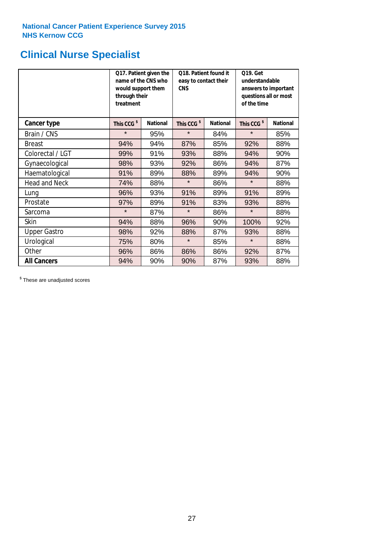# **Clinical Nurse Specialist**

|                      | would support them<br>through their<br>treatment | Q17. Patient given the<br>name of the CNS who | Q18. Patient found it<br>easy to contact their<br><b>CNS</b> |                 | <b>Q19. Get</b><br>understandable<br>answers to important<br>questions all or most<br>of the time |                 |  |
|----------------------|--------------------------------------------------|-----------------------------------------------|--------------------------------------------------------------|-----------------|---------------------------------------------------------------------------------------------------|-----------------|--|
| <b>Cancer type</b>   | This CCG <sup>\$</sup>                           | <b>National</b>                               | This CCG <sup>\$</sup>                                       | <b>National</b> | This CCG <sup>\$</sup>                                                                            | <b>National</b> |  |
| Brain / CNS          | $\star$                                          | 95%                                           | $\star$                                                      | 84%             | $\star$                                                                                           | 85%             |  |
| <b>Breast</b>        | 94%                                              | 94%                                           | 87%                                                          | 85%             | 92%                                                                                               | 88%             |  |
| Colorectal / LGT     | 99%                                              | 91%                                           | 93%                                                          | 88%             | 94%                                                                                               | 90%             |  |
| Gynaecological       | 98%                                              | 93%                                           | 92%                                                          | 86%             | 94%                                                                                               | 87%             |  |
| Haematological       | 91%                                              | 89%                                           | 88%<br>89%                                                   |                 | 94%                                                                                               | 90%             |  |
| <b>Head and Neck</b> | 74%                                              | 88%                                           | $\star$                                                      | 86%             | $\star$                                                                                           | 88%             |  |
| Lung                 | 96%                                              | 93%                                           | 91%                                                          | 89%             | 91%                                                                                               | 89%             |  |
| Prostate             | 97%                                              | 89%                                           | 91%                                                          | 83%             | 93%                                                                                               | 88%             |  |
| Sarcoma              | $\star$                                          | 87%                                           | $\star$                                                      | 86%             | $\star$                                                                                           | 88%             |  |
| Skin                 | 94%                                              | 88%                                           | 96%                                                          | 90%             | 100%                                                                                              | 92%             |  |
| <b>Upper Gastro</b>  | 98%                                              | 92%                                           | 88%                                                          | 87%             | 93%                                                                                               | 88%             |  |
| Urological           | 75%                                              | 80%                                           | $\star$                                                      | 85%             | $\star$                                                                                           | 88%             |  |
| Other                | 96%                                              | 86%                                           | 86%                                                          | 86%             | 92%                                                                                               | 87%             |  |
| <b>All Cancers</b>   | 94%                                              | 90%                                           | 90%                                                          | 87%             | 93%                                                                                               | 88%             |  |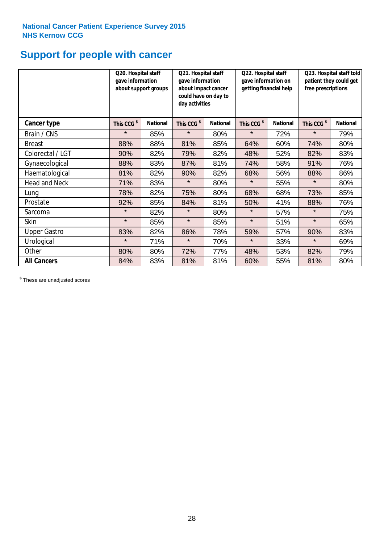# **Support for people with cancer**

|                      | Q20. Hospital staff<br>gave information | about support groups | Q21. Hospital staff<br>gave information<br>about impact cancer<br>could have on day to<br>day activities |                 | Q22. Hospital staff<br>gave information on<br>getting financial help |                 | Q23. Hospital staff told<br>patient they could get<br>free prescriptions |                 |
|----------------------|-----------------------------------------|----------------------|----------------------------------------------------------------------------------------------------------|-----------------|----------------------------------------------------------------------|-----------------|--------------------------------------------------------------------------|-----------------|
| <b>Cancer type</b>   | This CCG <sup>\$</sup>                  | <b>National</b>      | This CCG <sup>\$</sup>                                                                                   | <b>National</b> | This CCG <sup>\$</sup>                                               | <b>National</b> | This CCG <sup>\$</sup>                                                   | <b>National</b> |
| Brain / CNS          | $\star$                                 | 85%                  | $\star$                                                                                                  | 80%             | $\star$                                                              | 72%             | $\star$                                                                  | 79%             |
| <b>Breast</b>        | 88%                                     | 88%                  | 81%                                                                                                      | 85%             | 64%                                                                  | 60%             | 74%                                                                      | 80%             |
| Colorectal / LGT     | 90%                                     | 82%                  | 79%                                                                                                      | 82%             | 48%                                                                  | 52%             | 82%                                                                      | 83%             |
| Gynaecological       | 88%                                     | 83%                  | 87%                                                                                                      | 81%             | 74%                                                                  | 58%             | 91%                                                                      | 76%             |
| Haematological       | 81%                                     | 82%                  | 90%                                                                                                      | 82%             | 68%                                                                  | 56%             | 88%                                                                      | 86%             |
| <b>Head and Neck</b> | 71%                                     | 83%                  | $\star$                                                                                                  | 80%             | $\star$                                                              | 55%             | $\star$                                                                  | 80%             |
| Lung                 | 78%                                     | 82%                  | 75%                                                                                                      | 80%             | 68%                                                                  | 68%             | 73%                                                                      | 85%             |
| Prostate             | 92%                                     | 85%                  | 84%                                                                                                      | 81%             | 50%                                                                  | 41%             | 88%                                                                      | 76%             |
| Sarcoma              | $\star$                                 | 82%                  | $\star$                                                                                                  | 80%             | $\star$                                                              | 57%             | $\star$                                                                  | 75%             |
| Skin                 | $\star$                                 | 85%                  | $\star$                                                                                                  | 85%             | $\star$                                                              | 51%             | $\star$                                                                  | 65%             |
| <b>Upper Gastro</b>  | 83%                                     | 82%                  | 86%                                                                                                      | 78%             | 59%                                                                  | 57%             | 90%                                                                      | 83%             |
| Urological           | $\star$                                 | 71%                  | $\star$                                                                                                  | 70%             | $\star$                                                              | 33%             | $\star$                                                                  | 69%             |
| Other                | 80%                                     | 80%                  | 72%                                                                                                      | 77%             | 48%                                                                  | 53%             | 82%                                                                      | 79%             |
| <b>All Cancers</b>   | 84%                                     | 83%                  | 81%                                                                                                      | 81%             | 60%                                                                  | 55%             | 81%                                                                      | 80%             |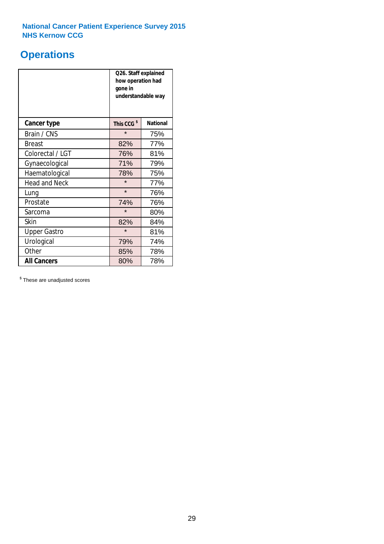# **Operations**

|                      | Q26. Staff explained<br>how operation had<br>gone in<br>understandable way |                 |  |  |
|----------------------|----------------------------------------------------------------------------|-----------------|--|--|
| <b>Cancer type</b>   | This CCG <sup>\$</sup>                                                     | <b>National</b> |  |  |
| Brain / CNS          | $\star$                                                                    | 75%             |  |  |
| <b>Breast</b>        | 82%                                                                        | 77%             |  |  |
| Colorectal / LGT     | 76%                                                                        | 81%             |  |  |
| Gynaecological       | 71%                                                                        | 79%             |  |  |
| Haematological       | 78%                                                                        | 75%             |  |  |
| <b>Head and Neck</b> | $\star$                                                                    | 77%             |  |  |
| Lung                 | $\star$                                                                    | 76%             |  |  |
| Prostate             | 74%                                                                        | 76%             |  |  |
| Sarcoma              | $\star$                                                                    | 80%             |  |  |
| Skin                 | 82%                                                                        | 84%             |  |  |
| <b>Upper Gastro</b>  | $\star$                                                                    | 81%             |  |  |
| Urological           | 79%<br>74%                                                                 |                 |  |  |
| Other                | 85%                                                                        | 78%             |  |  |
| <b>All Cancers</b>   | 80%<br>78%                                                                 |                 |  |  |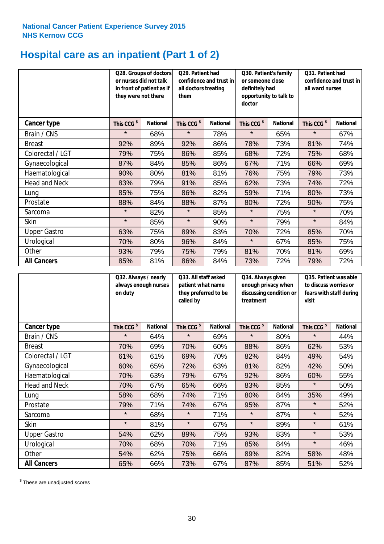# **Hospital care as an inpatient (Part 1 of 2)**

|                      | or nurses did not talk<br>they were not there | Q28. Groups of doctors<br>in front of patient as if | Q29. Patient had<br>confidence and trust in<br>all doctors treating<br>them |                 | Q30. Patient's family<br>or someone close<br>definitely had<br>opportunity to talk to<br>doctor |                 | Q31. Patient had<br>confidence and trust in I<br>all ward nurses |                 |
|----------------------|-----------------------------------------------|-----------------------------------------------------|-----------------------------------------------------------------------------|-----------------|-------------------------------------------------------------------------------------------------|-----------------|------------------------------------------------------------------|-----------------|
| Cancer type          | This CCG <sup>\$</sup>                        | <b>National</b>                                     | This CCG <sup>\$</sup>                                                      | <b>National</b> | This CCG <sup>\$</sup>                                                                          | <b>National</b> | This CCG <sup>\$</sup>                                           | <b>National</b> |
| Brain / CNS          | $\star$                                       | 68%                                                 | $\star$                                                                     | 78%             | $\star$                                                                                         | 65%             | $\star$                                                          | 67%             |
| <b>Breast</b>        | 92%                                           | 89%                                                 | 92%                                                                         | 86%             | 78%                                                                                             | 73%             | 81%                                                              | 74%             |
| Colorectal / LGT     | 79%                                           | 75%                                                 | 86%                                                                         | 85%             | 68%                                                                                             | 72%             | 75%                                                              | 68%             |
| Gynaecological       | 87%                                           | 84%                                                 | 85%                                                                         | 86%             | 67%                                                                                             | 71%             | 66%                                                              | 69%             |
| Haematological       | 90%                                           | 80%                                                 | 81%                                                                         | 81%             | 76%                                                                                             | 75%             | 79%                                                              | 73%             |
| <b>Head and Neck</b> | 83%                                           | 79%                                                 | 91%                                                                         | 85%             | 62%                                                                                             | 73%             | 74%                                                              | 72%             |
| Lung                 | 85%                                           | 75%                                                 | 86%                                                                         | 82%             | 59%                                                                                             | 71%             | 80%                                                              | 73%             |
| Prostate             | 88%                                           | 84%                                                 | 88%                                                                         | 87%             | 80%                                                                                             | 72%             | 90%                                                              | 75%             |
| Sarcoma              | $\star$                                       | 82%                                                 | $\star$                                                                     | 85%             | $\star$                                                                                         | 75%             | $\star$                                                          | 70%             |
| Skin                 | $\star$                                       | 85%                                                 | $\star$                                                                     | 90%             | $\star$                                                                                         | 79%             | $\star$                                                          | 84%             |
| <b>Upper Gastro</b>  | 63%                                           | 75%                                                 | 89%                                                                         | 83%             | 70%                                                                                             | 72%             | 85%                                                              | 70%             |
| Urological           | 70%                                           | 80%                                                 | 96%                                                                         | 84%             | $\star$                                                                                         | 67%             | 85%                                                              | 75%             |
| Other                | 93%                                           | 79%                                                 | 75%                                                                         | 79%             | 81%                                                                                             | 70%             | 81%                                                              | 69%             |
| <b>All Cancers</b>   | 85%                                           | 81%                                                 | 86%                                                                         | 84%             | 73%                                                                                             | 72%             | 79%                                                              | 72%             |

|                      | Q32. Always / nearly<br>always enough nurses<br>on duty |                 | Q33. All staff asked<br>patient what name<br>they preferred to be<br>called by |                 | Q34. Always given<br>enough privacy when<br>discussing condition or<br>treatment |                 | Q35. Patient was able<br>to discuss worries or<br>fears with staff during<br>visit |                 |
|----------------------|---------------------------------------------------------|-----------------|--------------------------------------------------------------------------------|-----------------|----------------------------------------------------------------------------------|-----------------|------------------------------------------------------------------------------------|-----------------|
| <b>Cancer type</b>   | This CCG <sup>\$</sup>                                  | <b>National</b> | This CCG <sup>\$</sup>                                                         | <b>National</b> | This CCG <sup>\$</sup>                                                           | <b>National</b> | This CCG <sup>\$</sup>                                                             | <b>National</b> |
| Brain / CNS          | $\star$                                                 | 64%             | $\star$                                                                        | 69%             | $\star$                                                                          | 80%             | $\star$                                                                            | 44%             |
| <b>Breast</b>        | 70%                                                     | 69%             | 70%                                                                            | 60%             | 88%                                                                              | 86%             | 62%                                                                                | 53%             |
| Colorectal / LGT     | 61%                                                     | 61%             | 69%                                                                            | 70%             | 82%                                                                              | 84%             | 49%                                                                                | 54%             |
| Gynaecological       | 60%                                                     | 65%             | 72%                                                                            | 63%             | 81%                                                                              | 82%             | 42%                                                                                | 50%             |
| Haematological       | 70%                                                     | 63%             | 79%                                                                            | 67%             | 92%                                                                              | 86%             | 60%                                                                                | 55%             |
| <b>Head and Neck</b> | 70%                                                     | 67%             | 65%                                                                            | 66%             | 83%                                                                              | 85%             | $\star$                                                                            | 50%             |
| Lung                 | 58%                                                     | 68%             | 74%                                                                            | 71%             | 80%                                                                              | 84%             | 35%                                                                                | 49%             |
| Prostate             | 79%                                                     | 71%             | 74%                                                                            | 67%             | 95%                                                                              | 87%             | $\star$                                                                            | 52%             |
| Sarcoma              | $\star$                                                 | 68%             | $\star$                                                                        | 71%             | $\star$                                                                          | 87%             | $\star$                                                                            | 52%             |
| Skin                 | $\star$                                                 | 81%             | $\star$                                                                        | 67%             | $\star$                                                                          | 89%             | $\star$                                                                            | 61%             |
| <b>Upper Gastro</b>  | 54%                                                     | 62%             | 89%                                                                            | 75%             | 93%                                                                              | 83%             | $\star$                                                                            | 53%             |
| Urological           | 70%                                                     | 68%             | 70%                                                                            | 71%             | 85%                                                                              | 84%             | $\star$                                                                            | 46%             |
| Other                | 54%                                                     | 62%             | 75%                                                                            | 66%             | 89%                                                                              | 82%             | 58%                                                                                | 48%             |
| <b>All Cancers</b>   | 65%                                                     | 66%             | 73%                                                                            | 67%             | 87%                                                                              | 85%             | 51%                                                                                | 52%             |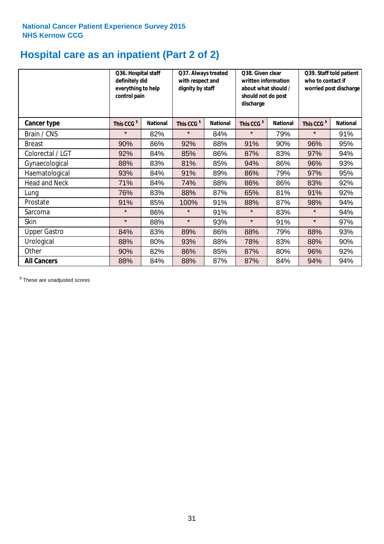# **Hospital care as an inpatient (Part 2 of 2)**

|                      | Q36. Hospital staff<br>definitely did<br>everything to help<br>control pain |                 | Q37. Always treated<br>with respect and<br>dignity by staff |                 | Q38. Given clear<br>written information<br>about what should /<br>should not do post<br>discharge |                 | Q39. Staff told patient<br>who to contact if<br>worried post discharge |                 |
|----------------------|-----------------------------------------------------------------------------|-----------------|-------------------------------------------------------------|-----------------|---------------------------------------------------------------------------------------------------|-----------------|------------------------------------------------------------------------|-----------------|
| Cancer type          | This CCG <sup>\$</sup>                                                      | <b>National</b> | This CCG <sup>\$</sup>                                      | <b>National</b> | This CCG <sup>\$</sup>                                                                            | <b>National</b> | This CCG <sup>\$</sup>                                                 | <b>National</b> |
| Brain / CNS          | $\star$                                                                     | 82%             | $\star$                                                     | 84%             | $\star$                                                                                           | 79%             | $\star$                                                                | 91%             |
| <b>Breast</b>        | 90%                                                                         | 86%             | 92%                                                         | 88%             | 91%                                                                                               | 90%             | 96%                                                                    | 95%             |
| Colorectal / LGT     | 92%                                                                         | 84%             | 85%                                                         | 86%             | 87%                                                                                               | 83%             | 97%                                                                    | 94%             |
| Gynaecological       | 88%                                                                         | 83%             | 81%                                                         | 85%             | 94%                                                                                               | 86%             | 96%                                                                    | 93%             |
| Haematological       | 93%                                                                         | 84%             | 91%                                                         | 89%             | 86%                                                                                               | 79%             | 97%                                                                    | 95%             |
| <b>Head and Neck</b> | 71%                                                                         | 84%             | 74%                                                         | 88%             | 86%                                                                                               | 86%             | 83%                                                                    | 92%             |
| Lung                 | 76%                                                                         | 83%             | 88%                                                         | 87%             | 65%                                                                                               | 81%             | 91%                                                                    | 92%             |
| Prostate             | 91%                                                                         | 85%             | 100%                                                        | 91%             | 88%                                                                                               | 87%             | 98%                                                                    | 94%             |
| Sarcoma              | $\star$                                                                     | 86%             | $\star$                                                     | 91%             | $\star$                                                                                           | 83%             | $\star$                                                                | 94%             |
| Skin                 | $\star$                                                                     | 88%             | $\star$                                                     | 93%             | $\star$                                                                                           | 91%             | $\star$                                                                | 97%             |
| <b>Upper Gastro</b>  | 84%                                                                         | 83%             | 89%                                                         | 86%             | 88%                                                                                               | 79%             | 88%                                                                    | 93%             |
| Urological           | 88%                                                                         | 80%             | 93%                                                         | 88%             | 78%                                                                                               | 83%             | 88%                                                                    | 90%             |
| Other                | 90%                                                                         | 82%             | 86%                                                         | 85%             | 87%                                                                                               | 80%             | 96%                                                                    | 92%             |
| <b>All Cancers</b>   | 88%                                                                         | 84%             | 88%                                                         | 87%             | 87%                                                                                               | 84%             | 94%                                                                    | 94%             |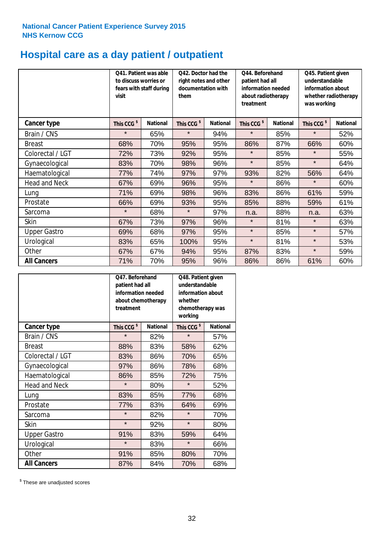# **Hospital care as a day patient / outpatient**

|                      | to discuss worries or<br>visit | Q41. Patient was able<br>fears with staff during | Q42. Doctor had the<br>right notes and other<br>documentation with<br>them |                 | Q45. Patient given<br>patient had all<br>understandable<br>information needed<br>information about<br>about radiotherapy<br>treatment<br>was working |                 | Q44. Beforehand        |                 | whether radiotherapy |
|----------------------|--------------------------------|--------------------------------------------------|----------------------------------------------------------------------------|-----------------|------------------------------------------------------------------------------------------------------------------------------------------------------|-----------------|------------------------|-----------------|----------------------|
| <b>Cancer type</b>   | This CCG <sup>\$</sup>         | <b>National</b>                                  | This CCG <sup>\$</sup>                                                     | <b>National</b> | This CCG <sup>\$</sup>                                                                                                                               | <b>National</b> | This CCG <sup>\$</sup> | <b>National</b> |                      |
| Brain / CNS          | $\star$                        | 65%                                              | $\star$                                                                    | 94%             | $\star$                                                                                                                                              | 85%             | $\star$                | 52%             |                      |
| <b>Breast</b>        | 68%                            | 70%                                              | 95%                                                                        | 95%             | 86%                                                                                                                                                  | 87%             | 66%                    | 60%             |                      |
| Colorectal / LGT     | 72%                            | 73%                                              | 92%                                                                        | 95%             | $\star$                                                                                                                                              | 85%             | $\star$                | 55%             |                      |
| Gynaecological       | 83%                            | 70%                                              | 98%                                                                        | 96%             | $\star$                                                                                                                                              | 85%             | $\star$                | 64%             |                      |
| Haematological       | 77%                            | 74%                                              | 97%                                                                        | 97%             | 93%                                                                                                                                                  | 82%             | 56%                    | 64%             |                      |
| <b>Head and Neck</b> | 67%                            | 69%                                              | 96%                                                                        | 95%             | $\star$                                                                                                                                              | 86%             | $\star$                | 60%             |                      |
| Lung                 | 71%                            | 69%                                              | 98%                                                                        | 96%             | 83%                                                                                                                                                  | 86%             | 61%                    | 59%             |                      |
| Prostate             | 66%                            | 69%                                              | 93%                                                                        | 95%             | 85%                                                                                                                                                  | 88%             | 59%                    | 61%             |                      |
| Sarcoma              | $\star$                        | 68%                                              | $\star$                                                                    | 97%             | n.a.                                                                                                                                                 | 88%             | n.a.                   | 63%             |                      |
| Skin                 | 67%                            | 73%                                              | 97%                                                                        | 96%             | $\star$                                                                                                                                              | 81%             | $\star$                | 63%             |                      |
| <b>Upper Gastro</b>  | 69%                            | 68%                                              | 97%                                                                        | 95%             | $\star$                                                                                                                                              | 85%             | $\star$                | 57%             |                      |
| Urological           | 83%                            | 65%                                              | 100%                                                                       | 95%             | $\star$                                                                                                                                              | 81%             | $\star$                | 53%             |                      |
| Other                | 67%                            | 67%                                              | 94%                                                                        | 95%             | 87%                                                                                                                                                  | 83%             | $\star$                | 59%             |                      |
| <b>All Cancers</b>   | 71%                            | 70%                                              | 95%                                                                        | 96%             | 86%                                                                                                                                                  | 86%             | 61%                    | 60%             |                      |

|                      | O47. Beforehand<br>patient had all<br>information needed<br>about chemotherapy<br>treatment |                 | Q48. Patient given<br>understandable<br>information about<br>whether<br>chemotherapy was<br>working |                 |  |
|----------------------|---------------------------------------------------------------------------------------------|-----------------|-----------------------------------------------------------------------------------------------------|-----------------|--|
| <b>Cancer type</b>   | This CCG <sup>\$</sup>                                                                      | <b>National</b> | This CCG <sup>\$</sup>                                                                              | <b>National</b> |  |
| Brain / CNS          | $\star$                                                                                     | 82%             | $\star$                                                                                             | 57%             |  |
| <b>Breast</b>        | 88%                                                                                         | 83%             | 58%                                                                                                 | 62%             |  |
| Colorectal / LGT     | 83%                                                                                         | 86%             | 70%                                                                                                 | 65%             |  |
| Gynaecological       | 97%                                                                                         | 86%             | 78%                                                                                                 | 68%             |  |
| Haematological       | 86%                                                                                         | 85%             | 72%                                                                                                 | 75%             |  |
| <b>Head and Neck</b> | $\star$                                                                                     | 80%             | $\star$                                                                                             | 52%             |  |
| Lung                 | 83%                                                                                         | 85%             | 77%                                                                                                 | 68%             |  |
| Prostate             | 77%                                                                                         | 83%             | 64%                                                                                                 | 69%             |  |
| Sarcoma              | $\star$                                                                                     | 82%             | $\star$                                                                                             | 70%             |  |
| Skin                 | $\star$                                                                                     | 92%             | $\star$                                                                                             | 80%             |  |
| <b>Upper Gastro</b>  | 91%                                                                                         | 83%             | 59%                                                                                                 | 64%             |  |
| Urological           | $\star$                                                                                     | 83%             | $\star$                                                                                             | 66%             |  |
| Other                | 91%                                                                                         | 85%             | 80%                                                                                                 | 70%             |  |
| <b>All Cancers</b>   | 87%                                                                                         | 84%             | 70%                                                                                                 | 68%             |  |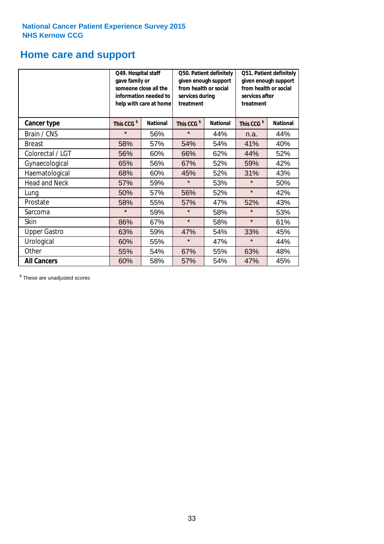# **Home care and support**

|                      | Q49. Hospital staff<br>gave family or<br>someone close all the<br>information needed to<br>help with care at home |                 | from health or social<br>services during<br>treatment | Q50. Patient definitely<br>given enough support | Q51. Patient definitely<br>given enough support<br>from health or social<br>services after<br>treatment |                 |  |
|----------------------|-------------------------------------------------------------------------------------------------------------------|-----------------|-------------------------------------------------------|-------------------------------------------------|---------------------------------------------------------------------------------------------------------|-----------------|--|
| <b>Cancer type</b>   | This CCG <sup>\$</sup>                                                                                            | <b>National</b> | This CCG <sup>\$</sup>                                | <b>National</b>                                 | This CCG <sup>\$</sup>                                                                                  | <b>National</b> |  |
| Brain / CNS          | $\star$                                                                                                           | 56%             | $\star$                                               | 44%                                             | n.a.                                                                                                    | 44%             |  |
| <b>Breast</b>        | 58%                                                                                                               | 57%             | 54%                                                   | 54%                                             | 41%                                                                                                     | 40%             |  |
| Colorectal / LGT     | 56%                                                                                                               | 60%             | 66%                                                   | 62%                                             | 44%                                                                                                     | 52%             |  |
| Gynaecological       | 65%                                                                                                               | 56%             | 67%                                                   | 52%                                             | 59%                                                                                                     | 42%             |  |
| Haematological       | 68%                                                                                                               | 60%             | 45%                                                   | 52%                                             | 31%                                                                                                     | 43%             |  |
| <b>Head and Neck</b> | 57%                                                                                                               | 59%             | $\star$                                               | 53%                                             | $\star$                                                                                                 | 50%             |  |
| Lung                 | 50%                                                                                                               | 57%             | 56%                                                   | 52%                                             | $\star$                                                                                                 | 42%             |  |
| Prostate             | 58%                                                                                                               | 55%             | 57%                                                   | 47%                                             | 52%                                                                                                     | 43%             |  |
| Sarcoma              | $\star$                                                                                                           | 59%             | $\star$                                               | 58%                                             | $\star$                                                                                                 | 53%             |  |
| Skin                 | 86%                                                                                                               | 67%             | $\star$                                               | 58%                                             | $\star$                                                                                                 | 61%             |  |
| <b>Upper Gastro</b>  | 63%                                                                                                               | 59%             | 47%                                                   | 54%                                             | 33%                                                                                                     | 45%             |  |
| Urological           | 60%                                                                                                               | 55%             | $\star$                                               | 47%                                             | $\star$                                                                                                 | 44%             |  |
| Other                | 55%                                                                                                               | 54%             | 67%                                                   | 55%                                             | 63%                                                                                                     | 48%             |  |
| <b>All Cancers</b>   | 60%                                                                                                               | 58%             | 57%                                                   | 54%                                             | 47%                                                                                                     | 45%             |  |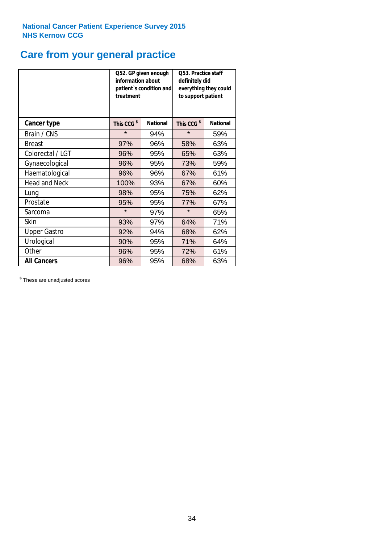# **Care from your general practice**

|                      | information about<br>treatment | Q52. GP given enough<br>patient's condition and | Q53. Practice staff<br>definitely did<br>everything they could<br>to support patient |                 |  |
|----------------------|--------------------------------|-------------------------------------------------|--------------------------------------------------------------------------------------|-----------------|--|
| <b>Cancer type</b>   | This CCG <sup>\$</sup>         | <b>National</b>                                 | This CCG <sup>\$</sup>                                                               | <b>National</b> |  |
| Brain / CNS          | $\star$                        | 94%                                             | $\star$                                                                              | 59%             |  |
| <b>Breast</b>        | 97%                            | 96%                                             | 58%                                                                                  | 63%             |  |
| Colorectal / LGT     | 96%                            | 95%                                             | 65%                                                                                  | 63%             |  |
| Gynaecological       | 96%                            | 95%                                             | 73%                                                                                  | 59%             |  |
| Haematological       | 96%                            | 96%                                             | 67%                                                                                  | 61%             |  |
| <b>Head and Neck</b> | 100%                           | 93%                                             | 67%                                                                                  | 60%             |  |
| Lung                 | 98%                            | 95%                                             | 75%                                                                                  | 62%             |  |
| Prostate             | 95%                            | 95%                                             | 77%                                                                                  | 67%             |  |
| Sarcoma              | $\star$                        | 97%                                             | $\star$                                                                              | 65%             |  |
| <b>Skin</b>          | 93%                            | 97%                                             | 64%                                                                                  | 71%             |  |
| <b>Upper Gastro</b>  | 92%                            | 94%                                             | 68%                                                                                  | 62%             |  |
| Urological           | 90%                            | 95%                                             | 71%                                                                                  | 64%             |  |
| Other                | 96%                            | 95%                                             | 72%                                                                                  | 61%             |  |
| <b>All Cancers</b>   | 96%                            | 95%                                             | 68%                                                                                  | 63%             |  |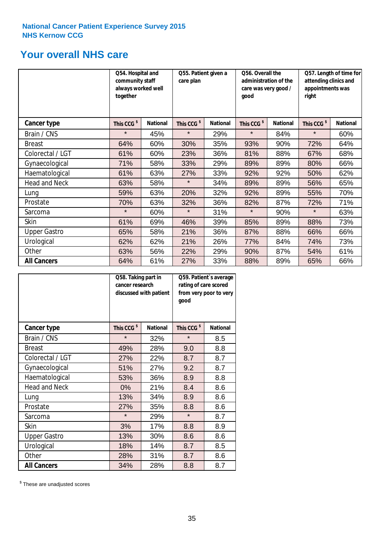# **Your overall NHS care**

|                      | Q54. Hospital and<br>community staff<br>always worked well<br>together |                 | Q55. Patient given a<br>care plan |                 | Q56. Overall the<br>administration of the<br>care was very good /<br>qood |                 | Q57. Length of time for<br>attending clinics and<br>appointments was<br>right |                 |
|----------------------|------------------------------------------------------------------------|-----------------|-----------------------------------|-----------------|---------------------------------------------------------------------------|-----------------|-------------------------------------------------------------------------------|-----------------|
| <b>Cancer type</b>   | This CCG <sup>\$</sup>                                                 | <b>National</b> | This CCG <sup>\$</sup>            | <b>National</b> | This CCG <sup>\$</sup>                                                    | <b>National</b> | This CCG <sup>\$</sup>                                                        | <b>National</b> |
| Brain / CNS          | $\star$                                                                | 45%             | $\star$                           | 29%             | $\star$                                                                   | 84%             | $\star$                                                                       | 60%             |
| <b>Breast</b>        | 64%                                                                    | 60%             | 30%                               | 35%             | 93%                                                                       | 90%             | 72%                                                                           | 64%             |
| Colorectal / LGT     | 61%                                                                    | 60%             | 23%                               | 36%             | 81%                                                                       | 88%             | 67%                                                                           | 68%             |
| Gynaecological       | 71%                                                                    | 58%             | 33%                               | 29%             | 89%                                                                       | 89%             | 80%                                                                           | 66%             |
| Haematological       | 61%                                                                    | 63%             | 27%                               | 33%             | 92%                                                                       | 92%             | 50%                                                                           | 62%             |
| <b>Head and Neck</b> | 63%                                                                    | 58%             | $\star$                           | 34%             | 89%                                                                       | 89%             | 56%                                                                           | 65%             |
| Lung                 | 59%                                                                    | 63%             | 20%                               | 32%             | 92%                                                                       | 89%             | 55%                                                                           | 70%             |
| Prostate             | 70%                                                                    | 63%             | 32%                               | 36%             | 82%                                                                       | 87%             | 72%                                                                           | 71%             |
| Sarcoma              | $\star$                                                                | 60%             | $\star$                           | 31%             | $\star$                                                                   | 90%             | $\star$                                                                       | 63%             |
| Skin                 | 61%                                                                    | 69%             | 46%                               | 39%             | 85%                                                                       | 89%             | 88%                                                                           | 73%             |
| <b>Upper Gastro</b>  | 65%                                                                    | 58%             | 21%                               | 36%             | 87%                                                                       | 88%             | 66%                                                                           | 66%             |
| Urological           | 62%                                                                    | 62%             | 21%                               | 26%             | 77%                                                                       | 84%             | 74%                                                                           | 73%             |
| Other                | 63%                                                                    | 56%             | 22%                               | 29%             | 90%                                                                       | 87%             | 54%                                                                           | 61%             |
| <b>All Cancers</b>   | 64%                                                                    | 61%             | 27%                               | 33%             | 88%                                                                       | 89%             | 65%                                                                           | 66%             |

|                      | Q58. Taking part in<br>cancer research | discussed with patient | Q59. Patient's average<br>rating of care scored<br>from very poor to very<br>good |                 |  |
|----------------------|----------------------------------------|------------------------|-----------------------------------------------------------------------------------|-----------------|--|
| <b>Cancer type</b>   | This CCG <sup>\$</sup>                 | <b>National</b>        | This CCG <sup>\$</sup>                                                            | <b>National</b> |  |
| Brain / CNS          | $\star$                                | 32%                    | $\star$                                                                           | 8.5             |  |
| <b>Breast</b>        | 49%                                    | 28%                    | 9.0                                                                               | 8.8             |  |
| Colorectal / LGT     | 27%                                    | 22%                    | 8.7                                                                               | 8.7             |  |
| Gynaecological       | 51%                                    | 27%                    | 9.2                                                                               | 8.7             |  |
| Haematological       | 53%                                    | 36%                    | 8.9                                                                               | 8.8             |  |
| <b>Head and Neck</b> | 0%                                     | 21%                    | 8.4                                                                               | 8.6             |  |
| Lung                 | 13%                                    | 34%                    | 8.9                                                                               | 8.6             |  |
| Prostate             | 27%                                    | 35%                    | 8.8                                                                               | 8.6             |  |
| Sarcoma              | $\star$                                | 29%                    | $\star$                                                                           | 8.7             |  |
| <b>Skin</b>          | 3%                                     | 17%                    | 8.8                                                                               | 8.9             |  |
| <b>Upper Gastro</b>  | 13%                                    | 30%                    | 8.6                                                                               | 8.6             |  |
| Urological           | 18%                                    | 14%                    | 8.7                                                                               | 8.5             |  |
| Other                | 28%                                    | 31%                    | 8.7                                                                               | 8.6             |  |
| <b>All Cancers</b>   | 34%                                    | 28%                    | 8.8                                                                               | 8.7             |  |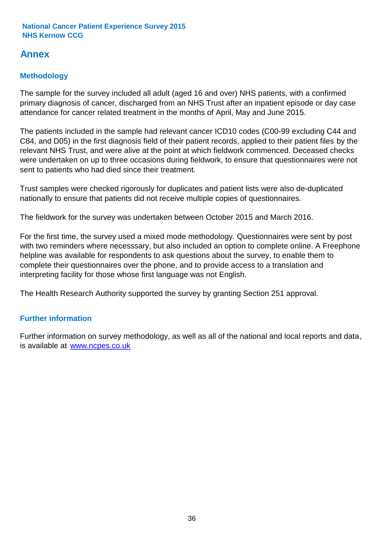# **Annex**

# **Methodology**

The sample for the survey included all adult (aged 16 and over) NHS patients, with a confirmed primary diagnosis of cancer, discharged from an NHS Trust after an inpatient episode or day case attendance for cancer related treatment in the months of April, May and June 2015.

The patients included in the sample had relevant cancer ICD10 codes (C00-99 excluding C44 and C84, and D05) in the first diagnosis field of their patient records, applied to their patient files by the relevant NHS Trust, and were alive at the point at which fieldwork commenced. Deceased checks were undertaken on up to three occasions during fieldwork, to ensure that questionnaires were not sent to patients who had died since their treatment.

Trust samples were checked rigorously for duplicates and patient lists were also de-duplicated nationally to ensure that patients did not receive multiple copies of questionnaires.

The fieldwork for the survey was undertaken between October 2015 and March 2016.

For the first time, the survey used a mixed mode methodology. Questionnaires were sent by post with two reminders where necesssary, but also included an option to complete online. A Freephone helpline was available for respondents to ask questions about the survey, to enable them to complete their questionnaires over the phone, and to provide access to a translation and interpreting facility for those whose first language was not English.

The Health Research Authority supported the survey by granting Section 251 approval.

# **Further information**

Further information on survey methodology, as well as all of the national and local reports and data, is available at www.ncpes.co.uk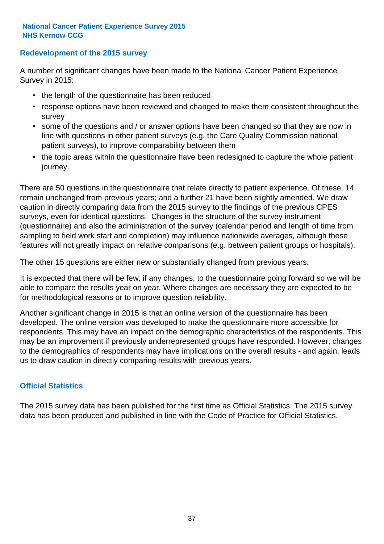### **Redevelopment of the 2015 survey**

A number of significant changes have been made to the National Cancer Patient Experience Survey in 2015:

- the length of the questionnaire has been reduced
- response options have been reviewed and changed to make them consistent throughout the survey
- some of the questions and / or answer options have been changed so that they are now in line with questions in other patient surveys (e.g. the Care Quality Commission national patient surveys), to improve comparability between them
- the topic areas within the questionnaire have been redesigned to capture the whole patient journey.

There are 50 questions in the questionnaire that relate directly to patient experience. Of these, 14 remain unchanged from previous years; and a further 21 have been slightly amended. We draw caution in directly comparing data from the 2015 survey to the findings of the previous CPES surveys, even for identical questions. Changes in the structure of the survey instrument (questionnaire) and also the administration of the survey (calendar period and length of time from sampling to field work start and completion) may influence nationwide averages, although these features will not greatly impact on relative comparisons (e.g. between patient groups or hospitals).

The other 15 questions are either new or substantially changed from previous years.

It is expected that there will be few, if any changes, to the questionnaire going forward so we will be able to compare the results year on year. Where changes are necessary they are expected to be for methodological reasons or to improve question reliability.

Another significant change in 2015 is that an online version of the questionnaire has been developed. The online version was developed to make the questionnaire more accessible for respondents. This may have an impact on the demographic characteristics of the respondents. This may be an improvement if previously underrepresented groups have responded. However, changes to the demographics of respondents may have implications on the overall results - and again, leads us to draw caution in directly comparing results with previous years.

### **Official Statistics**

The 2015 survey data has been published for the first time as Official Statistics. The 2015 survey data has been produced and published in line with the Code of Practice for Official Statistics.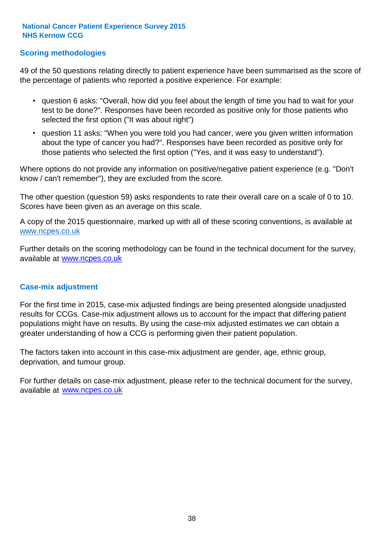### **Scoring methodologies**

49 of the 50 questions relating directly to patient experience have been summarised as the score of the percentage of patients who reported a positive experience. For example:

- question 6 asks: "Overall, how did you feel about the length of time you had to wait for your test to be done?". Responses have been recorded as positive only for those patients who selected the first option ("It was about right")
- question 11 asks: "When you were told you had cancer, were you given written information about the type of cancer you had?". Responses have been recorded as positive only for those patients who selected the first option ("Yes, and it was easy to understand").

Where options do not provide any information on positive/negative patient experience (e.g. "Don't know / can't remember"), they are excluded from the score.

The other question (question 59) asks respondents to rate their overall care on a scale of 0 to 10. Scores have been given as an average on this scale.

A copy of the 2015 questionnaire, marked up with all of these scoring conventions, is available at www.ncpes.co.uk

Further details on the scoring methodology can be found in the technical document for the survey, available at <u>www.ncpes.co.uk</u>

#### **Case-mix adjustment**

For the first time in 2015, case-mix adjusted findings are being presented alongside unadjusted results for CCGs. Case-mix adjustment allows us to account for the impact that differing patient populations might have on results. By using the case-mix adjusted estimates we can obtain a greater understanding of how a CCG is performing given their patient population.

The factors taken into account in this case-mix adjustment are gender, age, ethnic group, deprivation, and tumour group.

For further details on case-mix adjustment, please refer to the technical document for the survey, available at www.ncpes.co.uk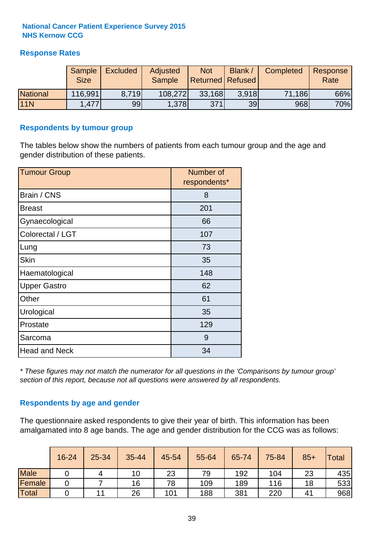## **Response Rates**

|                 | Sample<br><b>Size</b> | <b>Excluded</b> | Adjusted<br><b>Sample</b> | <b>Not</b><br><b>Returned Refused</b> | Blank / | Completed | Response<br>Rate |
|-----------------|-----------------------|-----------------|---------------------------|---------------------------------------|---------|-----------|------------------|
| <b>National</b> | 116,991               | 8.719           | 108,272                   | 33,168                                | 3.918   | 71,186    | 66%              |
| <b>11N</b>      | 1,477                 | 99              | 1,378                     | 371                                   | 39      | 968       | 70%              |

#### **Respondents by tumour group**

The tables below show the numbers of patients from each tumour group and the age and gender distribution of these patients.

| <b>Tumour Group</b>  | Number of<br>respondents* |
|----------------------|---------------------------|
| Brain / CNS          | 8                         |
| <b>Breast</b>        | 201                       |
| Gynaecological       | 66                        |
| Colorectal / LGT     | 107                       |
| Lung                 | 73                        |
| <b>Skin</b>          | 35                        |
| Haematological       | 148                       |
| <b>Upper Gastro</b>  | 62                        |
| Other                | 61                        |
| Urological           | 35                        |
| Prostate             | 129                       |
| Sarcoma              | 9                         |
| <b>Head and Neck</b> | 34                        |

*\* These figures may not match the numerator for all questions in the 'Comparisons by tumour group' section of this report, because not all questions were answered by all respondents.*

### **Respondents by age and gender**

The questionnaire asked respondents to give their year of birth. This information has been amalgamated into 8 age bands. The age and gender distribution for the CCG was as follows:

|             | 16-24 | 25-34 | 35-44 | 45-54 | 55-64 | 65-74 | 75-84 | $85+$        | <b>Total</b> |
|-------------|-------|-------|-------|-------|-------|-------|-------|--------------|--------------|
| <b>Male</b> |       |       | 10    | 23    | 79    | 192   | 104   | 23           | 435          |
| Female      |       |       | 16    | 78    | 109   | 189   | 116   | 18           | 533          |
| Total       |       | 11    | 26    | 101   | 188   | 381   | 220   | $4^{\prime}$ | 968          |